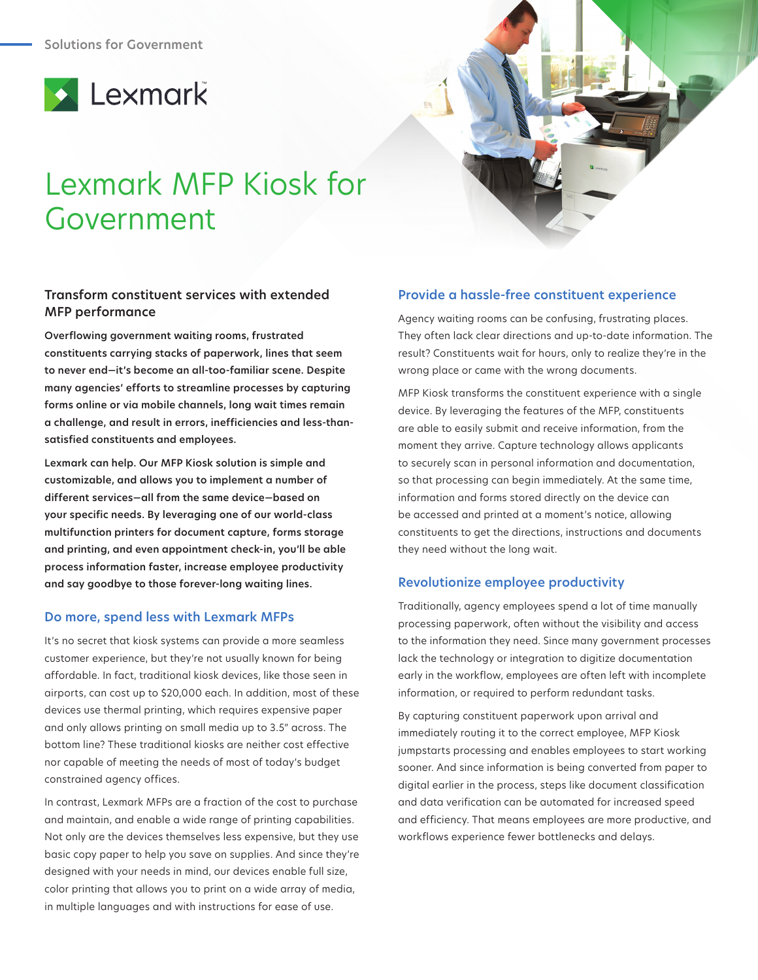

# Lexmark MFP Kiosk for Government

# **Transform constituent services with extended MFP performance**

**Overflowing government waiting rooms, frustrated constituents carrying stacks of paperwork, lines that seem to never end—it's become an all-too-familiar scene. Despite many agencies' efforts to streamline processes by capturing forms online or via mobile channels, long wait times remain a challenge, and result in errors, inefficiencies and less-thansatisfied constituents and employees.** 

**Lexmark can help. Our MFP Kiosk solution is simple and customizable, and allows you to implement a number of different services—all from the same device—based on your specific needs. By leveraging one of our world-class multifunction printers for document capture, forms storage and printing, and even appointment check-in, you'll be able process information faster, increase employee productivity and say goodbye to those forever-long waiting lines.** 

### **Do more, spend less with Lexmark MFPs**

It's no secret that kiosk systems can provide a more seamless customer experience, but they're not usually known for being affordable. In fact, traditional kiosk devices, like those seen in airports, can cost up to \$20,000 each. In addition, most of these devices use thermal printing, which requires expensive paper and only allows printing on small media up to 3.5" across. The bottom line? These traditional kiosks are neither cost effective nor capable of meeting the needs of most of today's budget constrained agency offices.

In contrast, Lexmark MFPs are a fraction of the cost to purchase and maintain, and enable a wide range of printing capabilities. Not only are the devices themselves less expensive, but they use basic copy paper to help you save on supplies. And since they're designed with your needs in mind, our devices enable full size, color printing that allows you to print on a wide array of media, in multiple languages and with instructions for ease of use.

# **Provide a hassle-free constituent experience**

Agency waiting rooms can be confusing, frustrating places. They often lack clear directions and up-to-date information. The result? Constituents wait for hours, only to realize they're in the wrong place or came with the wrong documents.

MFP Kiosk transforms the constituent experience with a single device. By leveraging the features of the MFP, constituents are able to easily submit and receive information, from the moment they arrive. Capture technology allows applicants to securely scan in personal information and documentation, so that processing can begin immediately. At the same time, information and forms stored directly on the device can be accessed and printed at a moment's notice, allowing constituents to get the directions, instructions and documents they need without the long wait.

#### **Revolutionize employee productivity**

Traditionally, agency employees spend a lot of time manually processing paperwork, often without the visibility and access to the information they need. Since many government processes lack the technology or integration to digitize documentation early in the workflow, employees are often left with incomplete information, or required to perform redundant tasks.

By capturing constituent paperwork upon arrival and immediately routing it to the correct employee, MFP Kiosk jumpstarts processing and enables employees to start working sooner. And since information is being converted from paper to digital earlier in the process, steps like document classification and data verification can be automated for increased speed and efficiency. That means employees are more productive, and workflows experience fewer bottlenecks and delays.